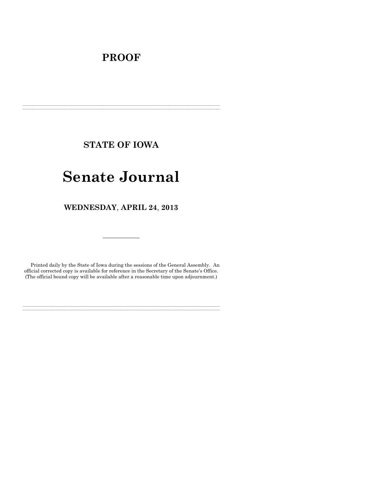# **PROOF**

**STATE OF IOWA**

**\_\_\_\_\_\_\_\_\_\_\_\_\_\_\_\_\_\_\_\_\_\_\_\_\_\_\_\_\_\_\_\_\_\_\_\_\_\_\_\_\_\_\_\_\_\_\_\_\_\_\_\_\_\_\_\_\_\_\_\_\_\_\_\_\_\_\_\_\_\_\_\_\_\_\_\_\_\_\_\_\_\_\_\_\_\_\_\_\_\_\_\_\_\_\_\_\_\_\_\_\_\_\_\_\_\_\_\_\_\_\_\_\_\_\_\_\_\_\_\_\_\_\_\_\_\_\_\_\_ \_\_\_\_\_\_\_\_\_\_\_\_\_\_\_\_\_\_\_\_\_\_\_\_\_\_\_\_\_\_\_\_\_\_\_\_\_\_\_\_\_\_\_\_\_\_\_\_\_\_\_\_\_\_\_\_\_\_\_\_\_\_\_\_\_\_\_\_\_\_\_\_\_\_\_\_\_\_\_\_\_\_\_\_\_\_\_\_\_\_\_\_\_\_\_\_\_\_\_\_\_\_\_\_\_\_\_\_\_\_\_\_\_\_\_\_\_\_\_\_\_\_\_\_\_\_\_\_\_**

# **Senate Journal**

**WEDNESDAY**, **APRIL 24**, **2013**

Printed daily by the State of Iowa during the sessions of the General Assembly. An official corrected copy is available for reference in the Secretary of the Senate's Office. (The official bound copy will be available after a reasonable time upon adjournment.)

**\_\_\_\_\_\_\_\_\_\_\_\_\_\_\_\_\_\_\_\_\_\_\_\_\_\_\_\_\_\_\_\_\_\_\_\_\_\_\_\_\_\_\_\_\_\_\_\_\_\_\_\_\_\_\_\_\_\_\_\_\_\_\_\_\_\_\_\_\_\_\_\_\_\_\_\_\_\_\_\_\_\_\_\_\_\_\_\_\_\_\_\_\_\_\_\_\_\_\_\_\_\_\_\_\_\_\_\_\_\_\_\_\_\_\_\_\_\_\_\_\_\_\_\_\_\_\_\_\_ \_\_\_\_\_\_\_\_\_\_\_\_\_\_\_\_\_\_\_\_\_\_\_\_\_\_\_\_\_\_\_\_\_\_\_\_\_\_\_\_\_\_\_\_\_\_\_\_\_\_\_\_\_\_\_\_\_\_\_\_\_\_\_\_\_\_\_\_\_\_\_\_\_\_\_\_\_\_\_\_\_\_\_\_\_\_\_\_\_\_\_\_\_\_\_\_\_\_\_\_\_\_\_\_\_\_\_\_\_\_\_\_\_\_\_\_\_\_\_\_\_\_\_\_\_\_\_\_\_**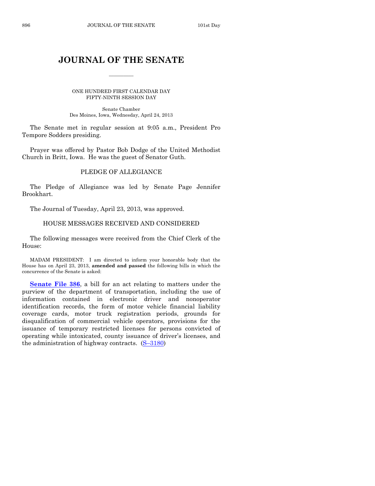# **JOURNAL OF THE SENATE**

 $\overline{\phantom{a}}$ 

ONE HUNDRED FIRST CALENDAR DAY FIFTY-NINTH SESSION DAY

Senate Chamber Des Moines, Iowa, Wednesday, April 24, 2013

The Senate met in regular session at 9:05 a.m., President Pro Tempore Sodders presiding.

Prayer was offered by Pastor Bob Dodge of the United Methodist Church in Britt, Iowa. He was the guest of Senator Guth.

# PLEDGE OF ALLEGIANCE

The Pledge of Allegiance was led by Senate Page Jennifer Brookhart.

The Journal of Tuesday, April 23, 2013, was approved.

# HOUSE MESSAGES RECEIVED AND CONSIDERED

The following messages were received from the Chief Clerk of the House:

MADAM PRESIDENT: I am directed to inform your honorable body that the House has on April 23, 2013, **amended and passed** the following bills in which the concurrence of the Senate is asked:

**[Senate File 386](http://coolice.legis.state.ia.us/Cool-ICE/default.asp?Category=billinfo&Service=Billbook&frame=1&GA=85&hbill=SF386)**, a bill for an act relating to matters under the purview of the department of transportation, including the use of information contained in electronic driver and nonoperator identification records, the form of motor vehicle financial liability coverage cards, motor truck registration periods, grounds for disqualification of commercial vehicle operators, provisions for the issuance of temporary restricted licenses for persons convicted of operating while intoxicated, county issuance of driver's licenses, and the administration of highway contracts.  $(S-3180)$  $(S-3180)$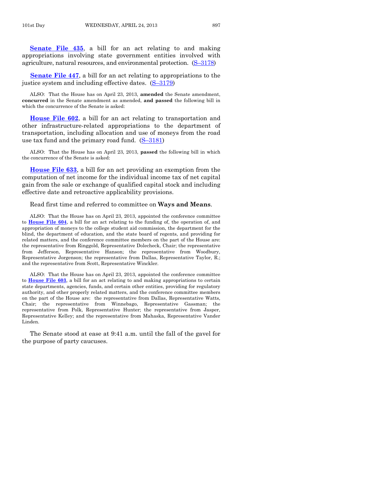**[Senate File 435](http://coolice.legis.state.ia.us/Cool-ICE/default.asp?Category=billinfo&Service=Billbook&frame=1&GA=85&hbill=SF435)**, a bill for an act relating to and making appropriations involving state government entities involved with agriculture, natural resources, and environmental protection. (S–[3178\)](http://coolice.legis.state.ia.us/Cool-ICE/default.asp?Category=billinfo&Service=Billbook&frame=1&GA=85&hbill=S3178)

**[Senate File 447](http://coolice.legis.state.ia.us/Cool-ICE/default.asp?Category=billinfo&Service=Billbook&frame=1&GA=85&hbill=SF447)**, a bill for an act relating to appropriations to the justice system and including effective dates. (S–[3179\)](http://coolice.legis.state.ia.us/Cool-ICE/default.asp?Category=billinfo&Service=Billbook&frame=1&GA=85&hbill=S3179)

ALSO: That the House has on April 23, 2013, **amended** the Senate amendment, **concurred** in the Senate amendment as amended, **and passed** the following bill in which the concurrence of the Senate is asked:

**[House File 602](http://coolice.legis.state.ia.us/Cool-ICE/default.asp?Category=billinfo&Service=Billbook&frame=1&GA=85&hbill=HF602)**, a bill for an act relating to transportation and other infrastructure-related appropriations to the department of transportation, including allocation and use of moneys from the road use tax fund and the primary road fund.  $(S-3181)$  $(S-3181)$ 

ALSO: That the House has on April 23, 2013, **passed** the following bill in which the concurrence of the Senate is asked:

**[House File 633](http://coolice.legis.state.ia.us/Cool-ICE/default.asp?Category=billinfo&Service=Billbook&frame=1&GA=85&hbill=HF633)**, a bill for an act providing an exemption from the computation of net income for the individual income tax of net capital gain from the sale or exchange of qualified capital stock and including effective date and retroactive applicability provisions.

Read first time and referred to committee on **Ways and Means**.

ALSO: That the House has on April 23, 2013, appointed the conference committee to **[House File 604](http://coolice.legis.state.ia.us/Cool-ICE/default.asp?Category=billinfo&Service=Billbook&frame=1&GA=85&hbill=HF604)**, a bill for an act relating to the funding of, the operation of, and appropriation of moneys to the college student aid commission, the department for the blind, the department of education, and the state board of regents, and providing for related matters, and the conference committee members on the part of the House are: the representative from Ringgold, Representative Dolecheck, Chair; the representative from Jefferson, Representative Hanson; the representative from Woodbury, Representative Jorgenson; the representative from Dallas, Representative Taylor, R.; and the representative from Scott, Representative Winckler.

ALSO: That the House has on April 23, 2013, appointed the conference committee to **[House File 603](http://coolice.legis.state.ia.us/Cool-ICE/default.asp?Category=billinfo&Service=Billbook&frame=1&GA=85&hbill=HF603)**, a bill for an act relating to and making appropriations to certain state departments, agencies, funds, and certain other entities, providing for regulatory authority, and other properly related matters, and the conference committee members on the part of the House are: the representative from Dallas, Representative Watts, Chair; the representative from Winnebago, Representative Gassman; the representative from Polk, Representative Hunter; the representative from Jasper, Representative Kelley; and the representative from Mahaska, Representative Vander Linden.

The Senate stood at ease at 9:41 a.m. until the fall of the gavel for the purpose of party caucuses.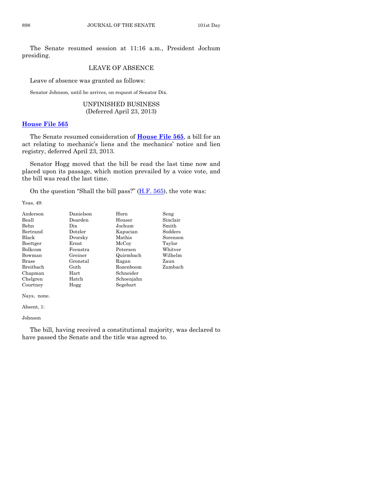The Senate resumed session at 11:16 a.m., President Jochum presiding.

# LEAVE OF ABSENCE

Leave of absence was granted as follows:

Senator Johnson, until he arrives, on request of Senator Dix.

UNFINISHED BUSINESS (Deferred April 23, 2013)

# **[House File 565](http://coolice.legis.state.ia.us/Cool-ICE/default.asp?Category=billinfo&Service=Billbook&frame=1&GA=85&hbill=HF565)**

The Senate resumed consideration of **[House File 565](http://coolice.legis.state.ia.us/Cool-ICE/default.asp?Category=billinfo&Service=Billbook&frame=1&GA=85&hbill=HF565)**, a bill for an act relating to mechanic's liens and the mechanics' notice and lien registry, deferred April 23, 2013.

Senator Hogg moved that the bill be read the last time now and placed upon its passage, which motion prevailed by a voice vote, and the bill was read the last time.

On the question "Shall the bill pass?" [\(H.F. 565\)](http://coolice.legis.state.ia.us/Cool-ICE/default.asp?Category=billinfo&Service=Billbook&frame=1&GA=85&hbill=HF565), the vote was:

Yeas, 49:

| Anderson     | Danielson   | Horn       | Seng     |
|--------------|-------------|------------|----------|
| Beall        | Dearden     | Houser     | Sinclair |
| Behn         | Dix         | Jochum     | Smith    |
| Bertrand     | Dotzler     | Kapucian   | Sodders  |
| Black        | Dvorsky     | Mathis     | Sorenson |
| Boettger     | $\rm Ernst$ | McCoy      | Taylor   |
| Bolkcom      | Feenstra    | Petersen   | Whitver  |
| Bowman       | Greiner     | Quirmbach  | Wilhelm  |
| <b>Brase</b> | Gronstal    | Ragan      | Zaun     |
| Breitbach    | Guth        | Rozenboom  | Zumbach  |
| Chapman      | Hart        | Schneider  |          |
| Chelgren     | Hatch       | Schoenjahn |          |
| Courtney     | Hogg        | Segebart   |          |
|              |             |            |          |

Nays, none.

Absent, 1:

Johnson

The bill, having received a constitutional majority, was declared to have passed the Senate and the title was agreed to.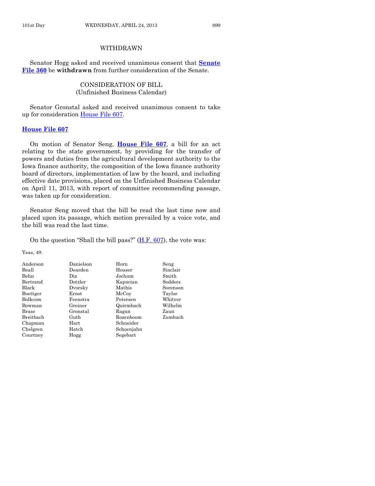# WITHDRAWN

Senator Hogg asked and received unanimous consent that **[Senate](http://coolice.legis.state.ia.us/Cool-ICE/default.asp?Category=billinfo&Service=Billbook&frame=1&GA=85&hbill=SF360)  [File 360](http://coolice.legis.state.ia.us/Cool-ICE/default.asp?Category=billinfo&Service=Billbook&frame=1&GA=85&hbill=SF360)** be **withdrawn** from further consideration of the Senate.

> CONSIDERATION OF BILL (Unfinished Business Calendar)

Senator Gronstal asked and received unanimous consent to take up for consideration [House File 607.](http://coolice.legis.state.ia.us/Cool-ICE/default.asp?Category=billinfo&Service=Billbook&frame=1&GA=85&hbill=HF607)

#### **[House File 607](http://coolice.legis.state.ia.us/Cool-ICE/default.asp?Category=billinfo&Service=Billbook&frame=1&GA=85&hbill=HF607)**

On motion of Senator Seng, **[House File 607](http://coolice.legis.state.ia.us/Cool-ICE/default.asp?Category=billinfo&Service=Billbook&frame=1&GA=85&hbill=HF607)**, a bill for an act relating to the state government, by providing for the transfer of powers and duties from the agricultural development authority to the Iowa finance authority, the composition of the Iowa finance authority board of directors, implementation of law by the board, and including effective date provisions, placed on the Unfinished Business Calendar on April 11, 2013, with report of committee recommending passage, was taken up for consideration.

Senator Seng moved that the bill be read the last time now and placed upon its passage, which motion prevailed by a voice vote, and the bill was read the last time.

On the question "Shall the bill pass?" [\(H.F. 607\)](http://coolice.legis.state.ia.us/Cool-ICE/default.asp?Category=billinfo&Service=Billbook&frame=1&GA=85&hbill=HF607), the vote was:

Yeas, 49:

| Danielson | Horn       | Seng     |
|-----------|------------|----------|
| Dearden   | Houser     | Sinclair |
| Dix       | Jochum     | Smith    |
| Dotzler   | Kapucian   | Sodders  |
| Dvorsky   | Mathis     | Sorenson |
| Ernst     | McCoy      | Taylor   |
| Feenstra  | Petersen   | Whitver  |
| Greiner   | Quirmbach  | Wilhelm  |
| Gronstal  | Ragan      | Zaun     |
| Guth      | Rozenboom  | Zumbach  |
| Hart      | Schneider  |          |
| Hatch     | Schoenjahn |          |
| Hogg      | Segebart   |          |
|           |            |          |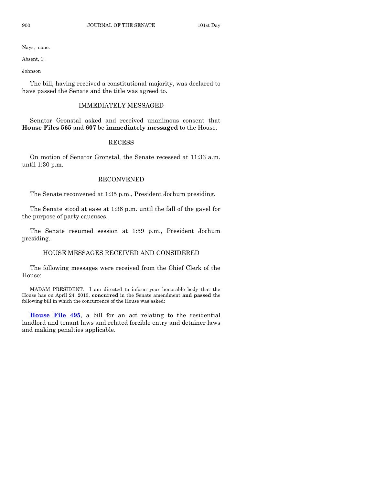Nays, none.

Absent, 1:

Johnson

The bill, having received a constitutional majority, was declared to have passed the Senate and the title was agreed to.

### IMMEDIATELY MESSAGED

Senator Gronstal asked and received unanimous consent that **House Files 565** and **607** be **immediately messaged** to the House.

### RECESS

On motion of Senator Gronstal, the Senate recessed at 11:33 a.m. until 1:30 p.m.

# RECONVENED

The Senate reconvened at 1:35 p.m., President Jochum presiding.

The Senate stood at ease at 1:36 p.m. until the fall of the gavel for the purpose of party caucuses.

The Senate resumed session at 1:59 p.m., President Jochum presiding.

# HOUSE MESSAGES RECEIVED AND CONSIDERED

The following messages were received from the Chief Clerk of the House:

MADAM PRESIDENT: I am directed to inform your honorable body that the House has on April 24, 2013, **concurred** in the Senate amendment **and passed** the following bill in which the concurrence of the House was asked:

**[House File 495](http://coolice.legis.state.ia.us/Cool-ICE/default.asp?Category=billinfo&Service=Billbook&frame=1&GA=85&hbill=HF495)**, a bill for an act relating to the residential landlord and tenant laws and related forcible entry and detainer laws and making penalties applicable.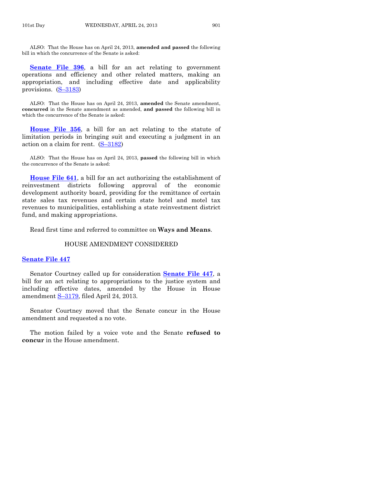ALSO: That the House has on April 24, 2013, **amended and passed** the following bill in which the concurrence of the Senate is asked:

**[Senate File 396](http://coolice.legis.state.ia.us/Cool-ICE/default.asp?Category=billinfo&Service=Billbook&frame=1&GA=85&hbill=SF396)**, a bill for an act relating to government operations and efficiency and other related matters, making an appropriation, and including effective date and applicability provisions. (S–[3183\)](http://coolice.legis.state.ia.us/Cool-ICE/default.asp?Category=billinfo&Service=Billbook&frame=1&GA=85&hbill=S3183)

ALSO: That the House has on April 24, 2013, **amended** the Senate amendment, **concurred** in the Senate amendment as amended, **and passed** the following bill in which the concurrence of the Senate is asked:

**[House File 356](http://coolice.legis.state.ia.us/Cool-ICE/default.asp?Category=billinfo&Service=Billbook&frame=1&GA=85&hbill=HF356)**, a bill for an act relating to the statute of limitation periods in bringing suit and executing a judgment in an action on a claim for rent.  $(S-3182)$  $(S-3182)$ 

ALSO: That the House has on April 24, 2013, **passed** the following bill in which the concurrence of the Senate is asked:

**[House File 641](http://coolice.legis.state.ia.us/Cool-ICE/default.asp?Category=billinfo&Service=Billbook&frame=1&GA=85&hbill=HF641)**, a bill for an act authorizing the establishment of reinvestment districts following approval of the economic development authority board, providing for the remittance of certain state sales tax revenues and certain state hotel and motel tax revenues to municipalities, establishing a state reinvestment district fund, and making appropriations.

Read first time and referred to committee on **Ways and Means**.

#### HOUSE AMENDMENT CONSIDERED

# **[Senate File 447](http://coolice.legis.state.ia.us/Cool-ICE/default.asp?Category=billinfo&Service=Billbook&frame=1&GA=85&hbill=SF447)**

Senator Courtney called up for consideration **[Senate File 447](http://coolice.legis.state.ia.us/Cool-ICE/default.asp?Category=billinfo&Service=Billbook&frame=1&GA=85&hbill=SF447)**, a bill for an act relating to appropriations to the justice system and including effective dates, amended by the House in House amendment S–[3179,](http://coolice.legis.state.ia.us/Cool-ICE/default.asp?Category=billinfo&Service=Billbook&frame=1&GA=85&hbill=S3179) filed April 24, 2013.

Senator Courtney moved that the Senate concur in the House amendment and requested a no vote.

The motion failed by a voice vote and the Senate **refused to concur** in the House amendment.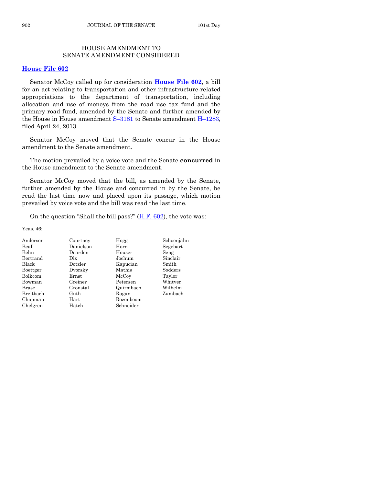# HOUSE AMENDMENT TO SENATE AMENDMENT CONSIDERED

# **[House File 602](http://coolice.legis.state.ia.us/Cool-ICE/default.asp?Category=billinfo&Service=Billbook&frame=1&GA=85&hbill=HF602)**

Senator McCoy called up for consideration **[House File 602](http://coolice.legis.state.ia.us/Cool-ICE/default.asp?Category=billinfo&Service=Billbook&frame=1&GA=85&hbill=HF602)**, a bill for an act relating to transportation and other infrastructure-related appropriations to the department of transportation, including allocation and use of moneys from the road use tax fund and the primary road fund, amended by the Senate and further amended by the House in House amendment  $S-3181$  $S-3181$  to Senate amendment  $H-1283$ , filed April 24, 2013.

Senator McCoy moved that the Senate concur in the House amendment to the Senate amendment.

The motion prevailed by a voice vote and the Senate **concurred** in the House amendment to the Senate amendment.

Senator McCoy moved that the bill, as amended by the Senate, further amended by the House and concurred in by the Senate, be read the last time now and placed upon its passage, which motion prevailed by voice vote and the bill was read the last time.

On the question "Shall the bill pass?" [\(H.F. 602\)](http://coolice.legis.state.ia.us/Cool-ICE/default.asp?Category=billinfo&Service=Billbook&frame=1&GA=85&hbill=HF602), the vote was:

Yeas, 46:

| Courtney   | Hogg      | Schoenjahn |
|------------|-----------|------------|
| Danielson  | Horn      | Segebart   |
| Dearden    | Houser    | Seng       |
| Dix        | Jochum    | Sinclair   |
| Dotzler    | Kapucian  | Smith      |
| Dvorsky    | Mathis    | Sodders    |
| Ernst      | McCoy     | Taylor     |
| Greiner    | Petersen  | Whitver    |
| Gronstal   | Quirmbach | Wilhelm    |
| Guth       | Ragan     | Zumbach    |
| $\rm Hart$ | Rozenboom |            |
| Hatch      | Schneider |            |
|            |           |            |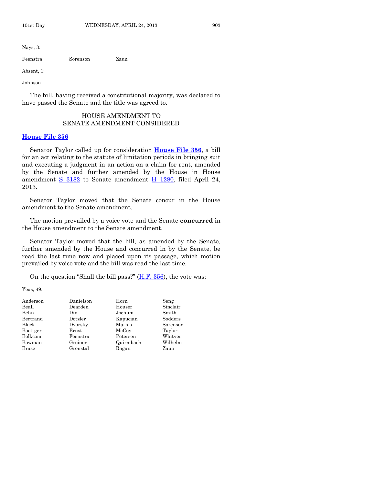Nays, 3:

Feenstra Sorenson Zaun

Absent, 1:

Johnson

The bill, having received a constitutional majority, was declared to have passed the Senate and the title was agreed to.

# HOUSE AMENDMENT TO SENATE AMENDMENT CONSIDERED

#### **[House File 356](http://coolice.legis.state.ia.us/Cool-ICE/default.asp?Category=billinfo&Service=Billbook&frame=1&GA=85&hbill=HF356)**

Senator Taylor called up for consideration **[House File 356](http://coolice.legis.state.ia.us/Cool-ICE/default.asp?Category=billinfo&Service=Billbook&frame=1&GA=85&hbill=HF356)**, a bill for an act relating to the statute of limitation periods in bringing suit and executing a judgment in an action on a claim for rent, amended by the Senate and further amended by the House in House amendment  $S-3182$  $S-3182$  to Senate amendment  $H-1280$ , filed April 24, 2013.

Senator Taylor moved that the Senate concur in the House amendment to the Senate amendment.

The motion prevailed by a voice vote and the Senate **concurred** in the House amendment to the Senate amendment.

Senator Taylor moved that the bill, as amended by the Senate, further amended by the House and concurred in by the Senate, be read the last time now and placed upon its passage, which motion prevailed by voice vote and the bill was read the last time.

On the question "Shall the bill pass?" [\(H.F. 356\)](http://coolice.legis.state.ia.us/Cool-ICE/default.asp?Category=billinfo&Service=Billbook&frame=1&GA=85&hbill=HF356), the vote was:

Yeas, 49:

| Anderson | Danielson | Horn      | Seng     |
|----------|-----------|-----------|----------|
| Beall    | Dearden   | Houser    | Sinclair |
| Behn     | Dix       | Jochum    | Smith    |
| Bertrand | Dotzler   | Kapucian  | Sodders  |
| Black    | Dvorsky   | Mathis    | Sorenson |
| Boettger | Ernst     | McCoy     | Taylor   |
| Bolkcom  | Feenstra  | Petersen  | Whitver  |
| Bowman   | Greiner   | Quirmbach | Wilhelm  |
| Brase    | Gronstal  | Ragan     | Zaun     |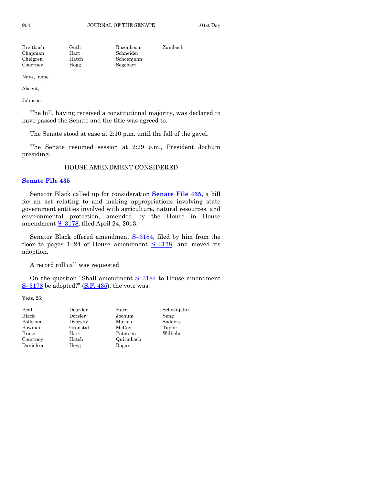| Breitbach | Guth  | Rozenboom  | Zumbach |
|-----------|-------|------------|---------|
| Chapman   | Hart  | Schneider  |         |
| Chelgren  | Hatch | Schoenjahn |         |
| Courtney  | Hogg  | Segebart   |         |

Nays, none.

Absent, 1:

Johnson

The bill, having received a constitutional majority, was declared to have passed the Senate and the title was agreed to.

The Senate stood at ease at 2:10 p.m. until the fall of the gavel.

The Senate resumed session at 2:29 p.m., President Jochum presiding.

### HOUSE AMENDMENT CONSIDERED

#### **[Senate File 435](http://coolice.legis.state.ia.us/Cool-ICE/default.asp?Category=billinfo&Service=Billbook&frame=1&GA=85&hbill=SF435)**

Senator Black called up for consideration **[Senate File 435](http://coolice.legis.state.ia.us/Cool-ICE/default.asp?Category=billinfo&Service=Billbook&frame=1&GA=85&hbill=SF435)**, a bill for an act relating to and making appropriations involving state government entities involved with agriculture, natural resources, and environmental protection, amended by the House in House amendment S–[3178,](http://coolice.legis.state.ia.us/Cool-ICE/default.asp?Category=billinfo&Service=Billbook&frame=1&GA=85&hbill=S3178) filed April 24, 2013.

Senator Black offered amendment  $S-3184$ , filed by him from the floor to pages  $1-24$  of House amendment  $S-3178$ , and moved its adoption.

A record roll call was requested.

On the question "Shall amendment S–[3184](http://coolice.legis.state.ia.us/Cool-ICE/default.asp?Category=billinfo&Service=Billbook&frame=1&GA=85&hbill=S3184) to House amendment  $S-3178$  $S-3178$  be adopted?"  $(S.F. 435)$ , the vote was:

Yeas, 26:

| Beall     | Dearden  | Horn      | Schoenjahn |
|-----------|----------|-----------|------------|
| Black     | Dotzler  | Jochum    | Seng       |
| Bolkcom   | Dvorsky  | Mathis    | Sodders    |
| Bowman    | Gronstal | McCoy     | Taylor     |
| Brase     | Hart     | Petersen  | Wilhelm    |
| Courtney  | Hatch    | Quirmbach |            |
| Danielson | Hogg     | Ragan     |            |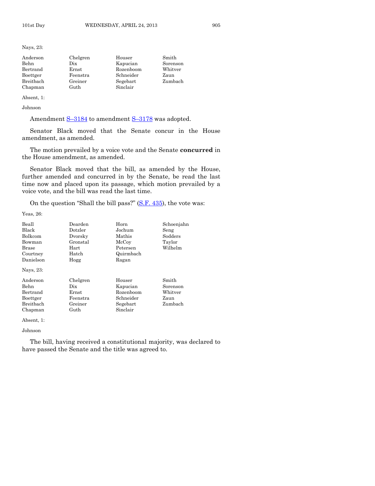Nays, 23:

| Anderson  | Chelgren | Houser    | Smith    |
|-----------|----------|-----------|----------|
| Behn      | Dix      | Kapucian  | Sorenson |
| Bertrand  | Ernst    | Rozenboom | Whitver  |
| Boettger  | Feenstra | Schneider | Zaun     |
| Breitbach | Greiner  | Segebart  | Zumbach  |
| Chapman   | Guth     | Sinclair  |          |

Absent, 1:

Johnson

Amendment  $S-3184$  $S-3184$  to amendment  $S-3178$  $S-3178$  was adopted.

Senator Black moved that the Senate concur in the House amendment, as amended.

The motion prevailed by a voice vote and the Senate **concurred** in the House amendment, as amended.

Senator Black moved that the bill, as amended by the House, further amended and concurred in by the Senate, be read the last time now and placed upon its passage, which motion prevailed by a voice vote, and the bill was read the last time.

On the question "Shall the bill pass?"  $(S.F. 435)$ , the vote was:

Yeas, 26:

| Dearden          | Schoenjahn        |          |
|------------------|-------------------|----------|
| $_{\rm Dotzler}$ | Jochum<br>Seng    |          |
| Dvorskv          | Sodders<br>Mathis |          |
| Gronstal         | McCoy             | Taylor   |
| Hart             | Petersen          | Wilhelm  |
| Hatch            | Quirmbach         |          |
| Hogg             | Ragan             |          |
|                  |                   |          |
| Chelgren         | Houser            | Smith    |
| Dix              | Kapucian          | Sorenson |
| Ernst            | Rozenboom         | Whitver  |
| Feenstra         | Schneider         | Zaun     |
| Greiner          | Segebart          | Zumbach  |
| Guth             | Sinclair          |          |
|                  |                   | Horn     |

Absent, 1:

#### Johnson

The bill, having received a constitutional majority, was declared to have passed the Senate and the title was agreed to.